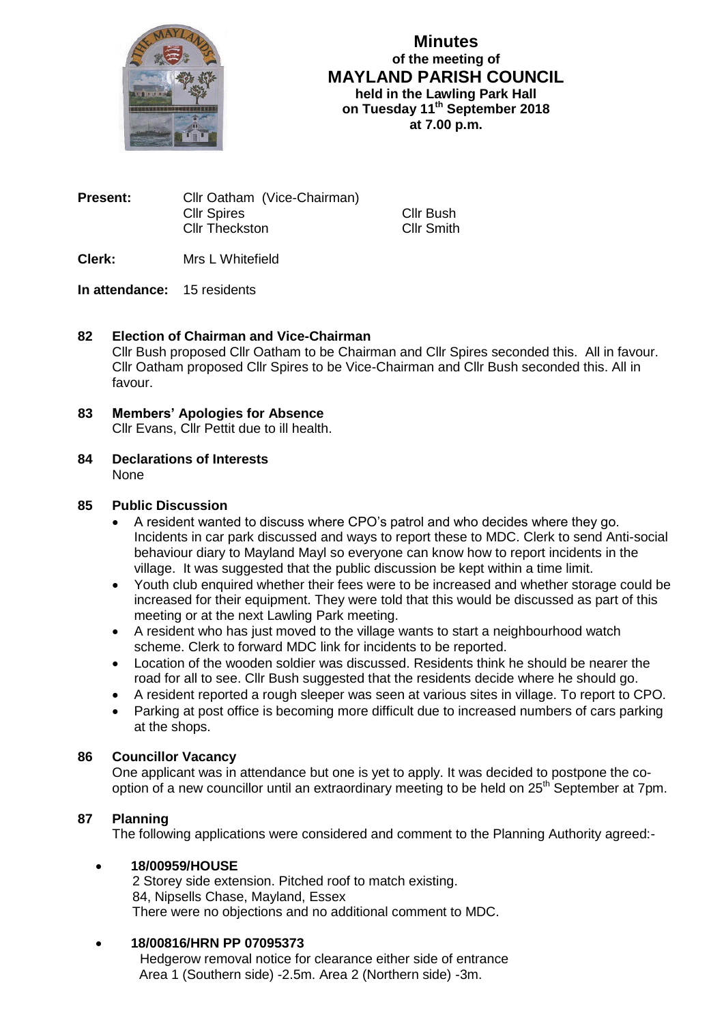

**Minutes of the meeting of MAYLAND PARISH COUNCIL held in the Lawling Park Hall on Tuesday 11 th September 2018 at 7.00 p.m.**

> Cllr Bush Cllr Smith

| <b>Present:</b> | Cllr Oatham (Vice-Chairman) |
|-----------------|-----------------------------|
|                 | <b>Cllr Spires</b>          |
|                 | <b>CIIr Theckston</b>       |

**Clerk:** Mrs L Whitefield

# **In attendance:** 15 residents

# **82 Election of Chairman and Vice-Chairman**

Cllr Bush proposed Cllr Oatham to be Chairman and Cllr Spires seconded this. All in favour. Cllr Oatham proposed Cllr Spires to be Vice-Chairman and Cllr Bush seconded this. All in favour.

- **83 Members' Apologies for Absence** Cllr Evans, Cllr Pettit due to ill health.
- **84 Declarations of Interests** None

## **85 Public Discussion**

- A resident wanted to discuss where CPO's patrol and who decides where they go. Incidents in car park discussed and ways to report these to MDC. Clerk to send Anti-social behaviour diary to Mayland Mayl so everyone can know how to report incidents in the village. It was suggested that the public discussion be kept within a time limit.
- Youth club enquired whether their fees were to be increased and whether storage could be increased for their equipment. They were told that this would be discussed as part of this meeting or at the next Lawling Park meeting.
- A resident who has just moved to the village wants to start a neighbourhood watch scheme. Clerk to forward MDC link for incidents to be reported.
- Location of the wooden soldier was discussed. Residents think he should be nearer the road for all to see. Cllr Bush suggested that the residents decide where he should go.
- A resident reported a rough sleeper was seen at various sites in village. To report to CPO.
- Parking at post office is becoming more difficult due to increased numbers of cars parking at the shops.

### **86 Councillor Vacancy**

One applicant was in attendance but one is yet to apply. It was decided to postpone the cooption of a new councillor until an extraordinary meeting to be held on 25<sup>th</sup> September at 7pm.

## **87 Planning**

The following applications were considered and comment to the Planning Authority agreed:-

### **18/00959/HOUSE**

 2 Storey side extension. Pitched roof to match existing.84, Nipsells Chase, Mayland, Essex There were no objections and no additional comment to MDC.

## **18/00816/HRN PP 07095373**

 Hedgerow removal notice for clearance either side of entrance Area 1 (Southern side) -2.5m. Area 2 (Northern side) -3m.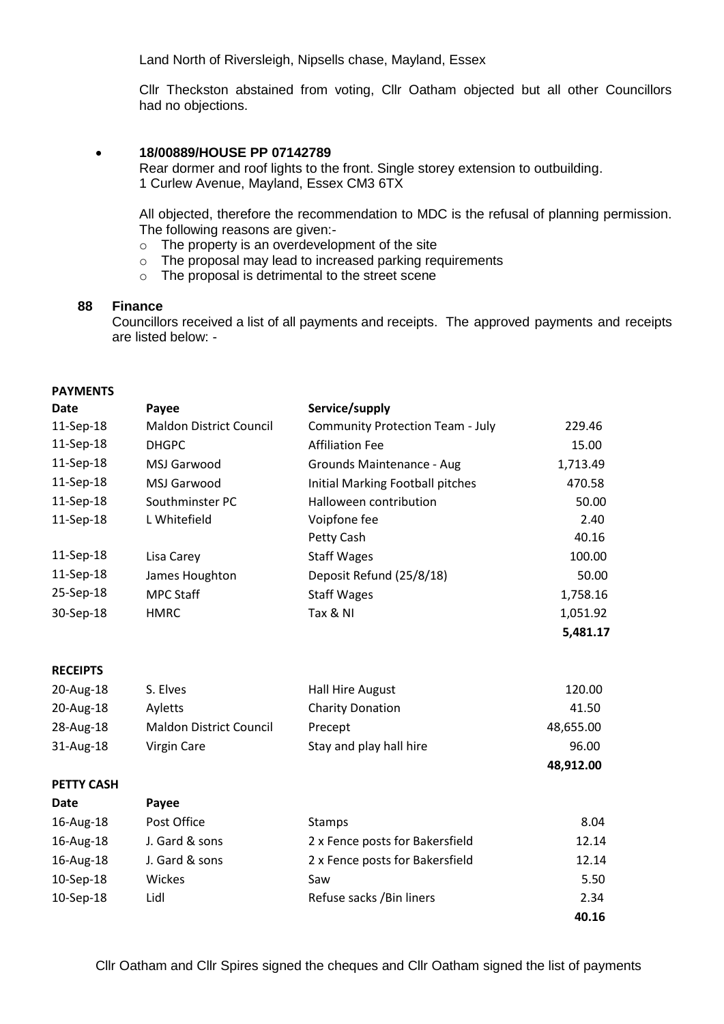Land North of Riversleigh, Nipsells chase, Mayland, Essex

Cllr Theckston abstained from voting, Cllr Oatham objected but all other Councillors had no objections.

### **18/00889/HOUSE PP 07142789**

Rear dormer and roof lights to the front. Single storey extension to outbuilding. 1 Curlew Avenue, Mayland, Essex CM3 6TX

All objected, therefore the recommendation to MDC is the refusal of planning permission. The following reasons are given:-

- o The property is an overdevelopment of the site
- o The proposal may lead to increased parking requirements
- o The proposal is detrimental to the street scene

### **88 Finance**

Councillors received a list of all payments and receipts. The approved payments and receipts are listed below: -

### **PAYMENTS**

| Date      | Payee                          | Service/supply                          |          |
|-----------|--------------------------------|-----------------------------------------|----------|
| 11-Sep-18 | <b>Maldon District Council</b> | <b>Community Protection Team - July</b> | 229.46   |
| 11-Sep-18 | <b>DHGPC</b>                   | <b>Affiliation Fee</b>                  | 15.00    |
| 11-Sep-18 | MSJ Garwood                    | Grounds Maintenance - Aug               | 1,713.49 |
| 11-Sep-18 | MSJ Garwood                    | Initial Marking Football pitches        | 470.58   |
| 11-Sep-18 | Southminster PC                | Halloween contribution                  | 50.00    |
| 11-Sep-18 | L Whitefield                   | Voipfone fee                            | 2.40     |
|           |                                | Petty Cash                              | 40.16    |
| 11-Sep-18 | Lisa Carey                     | <b>Staff Wages</b>                      | 100.00   |
| 11-Sep-18 | James Houghton                 | Deposit Refund (25/8/18)                | 50.00    |
| 25-Sep-18 | <b>MPC Staff</b>               | <b>Staff Wages</b>                      | 1,758.16 |
| 30-Sep-18 | <b>HMRC</b>                    | Tax & NI                                | 1,051.92 |
|           |                                |                                         | 5,481.17 |

#### **RECEIPTS**

| 20-Aug-18    | S. Elves                | Hall Hire August        | 120.00    |
|--------------|-------------------------|-------------------------|-----------|
| 20-Aug-18    | <b>Avletts</b>          | <b>Charity Donation</b> | 41.50     |
| 28-Aug-18    | Maldon District Council | Precept                 | 48,655.00 |
| $31$ -Aug-18 | Virgin Care             | Stay and play hall hire | 96.00     |

#### **PETTY CASH**

| Date      | <b>Payee</b>   |                                 |       |
|-----------|----------------|---------------------------------|-------|
| 16-Aug-18 | Post Office    | <b>Stamps</b>                   | 8.04  |
| 16-Aug-18 | J. Gard & sons | 2 x Fence posts for Bakersfield | 12.14 |
| 16-Aug-18 | J. Gard & sons | 2 x Fence posts for Bakersfield | 12.14 |
| 10-Sep-18 | Wickes         | Saw                             | 5.50  |
| 10-Sep-18 | Lidl           | Refuse sacks / Bin liners       | 2.34  |
|           |                |                                 | 40.16 |

 **48,912.00**